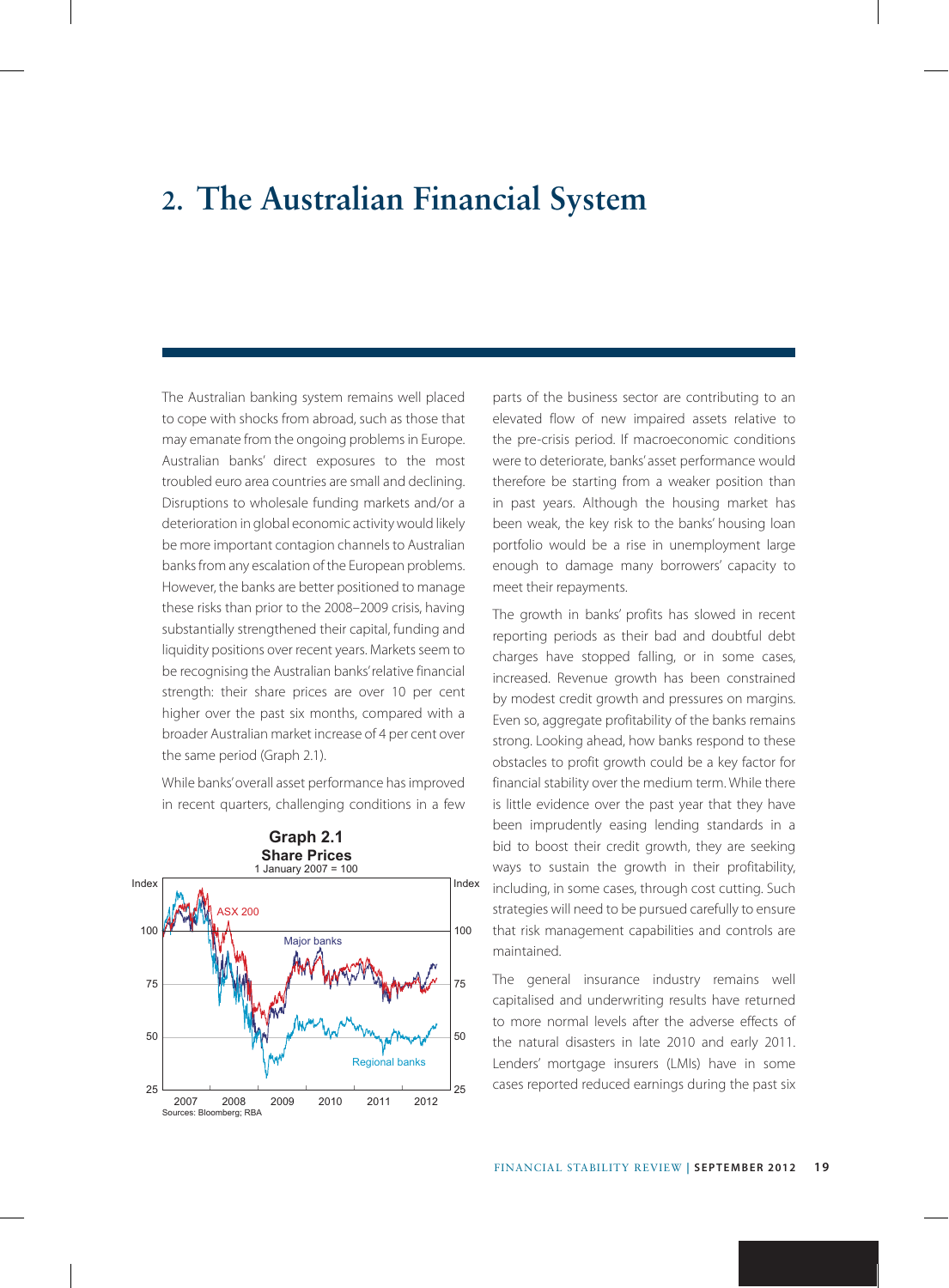# **2. The Australian Financial System**

The Australian banking system remains well placed to cope with shocks from abroad, such as those that may emanate from the ongoing problems in Europe. Australian banks' direct exposures to the most troubled euro area countries are small and declining. Disruptions to wholesale funding markets and/or a deterioration in global economic activity would likely be more important contagion channels to Australian banks from any escalation of the European problems. However, the banks are better positioned to manage these risks than prior to the 2008–2009 crisis, having substantially strengthened their capital, funding and liquidity positions over recent years. Markets seem to be recognising the Australian banks' relative financial strength: their share prices are over 10 per cent higher over the past six months, compared with a broader Australian market increase of 4 per cent over the same period (Graph 2.1).

While banks' overall asset performance has improved in recent quarters, challenging conditions in a few



parts of the business sector are contributing to an elevated flow of new impaired assets relative to the pre-crisis period. If macroeconomic conditions were to deteriorate, banks' asset performance would therefore be starting from a weaker position than in past years. Although the housing market has been weak, the key risk to the banks' housing loan portfolio would be a rise in unemployment large enough to damage many borrowers' capacity to meet their repayments.

The growth in banks' profits has slowed in recent reporting periods as their bad and doubtful debt charges have stopped falling, or in some cases, increased. Revenue growth has been constrained by modest credit growth and pressures on margins. Even so, aggregate profitability of the banks remains strong. Looking ahead, how banks respond to these obstacles to profit growth could be a key factor for financial stability over the medium term. While there is little evidence over the past year that they have been imprudently easing lending standards in a bid to boost their credit growth, they are seeking ways to sustain the growth in their profitability, including, in some cases, through cost cutting. Such strategies will need to be pursued carefully to ensure that risk management capabilities and controls are maintained.

The general insurance industry remains well capitalised and underwriting results have returned to more normal levels after the adverse effects of the natural disasters in late 2010 and early 2011. Lenders' mortgage insurers (LMIs) have in some cases reported reduced earnings during the past six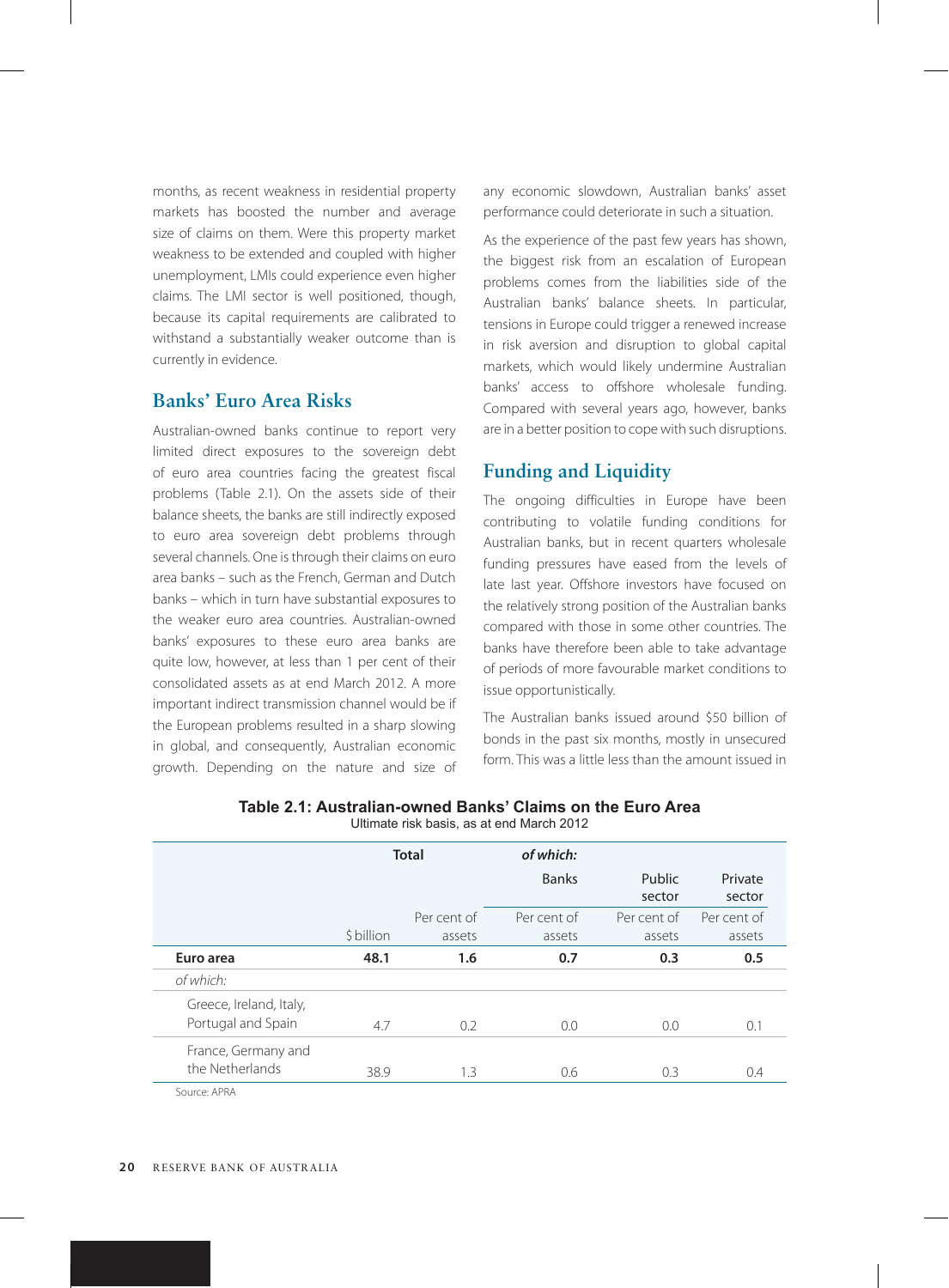months, as recent weakness in residential property markets has boosted the number and average size of claims on them. Were this property market weakness to be extended and coupled with higher unemployment, LMIs could experience even higher claims. The LMI sector is well positioned, though, because its capital requirements are calibrated to withstand a substantially weaker outcome than is currently in evidence.

# **Banks' Euro Area Risks**

Australian-owned banks continue to report very limited direct exposures to the sovereign debt of euro area countries facing the greatest fiscal problems (Table 2.1). On the assets side of their balance sheets, the banks are still indirectly exposed to euro area sovereign debt problems through several channels. One is through their claims on euro area banks – such as the French, German and Dutch banks – which in turn have substantial exposures to the weaker euro area countries. Australian-owned banks' exposures to these euro area banks are quite low, however, at less than 1 per cent of their consolidated assets as at end March 2012. A more important indirect transmission channel would be if the European problems resulted in a sharp slowing in global, and consequently, Australian economic growth. Depending on the nature and size of any economic slowdown, Australian banks' asset performance could deteriorate in such a situation.

As the experience of the past few years has shown, the biggest risk from an escalation of European problems comes from the liabilities side of the Australian banks' balance sheets. In particular, tensions in Europe could trigger a renewed increase in risk aversion and disruption to global capital markets, which would likely undermine Australian banks' access to offshore wholesale funding. Compared with several years ago, however, banks are in a better position to cope with such disruptions.

# **Funding and Liquidity**

The ongoing difficulties in Europe have been contributing to volatile funding conditions for Australian banks, but in recent quarters wholesale funding pressures have eased from the levels of late last year. Offshore investors have focused on the relatively strong position of the Australian banks compared with those in some other countries. The banks have therefore been able to take advantage of periods of more favourable market conditions to issue opportunistically.

The Australian banks issued around \$50 billion of bonds in the past six months, mostly in unsecured form. This was a little less than the amount issued in

|                                               | <b>Total</b> |                       | of which:             |                       |                       |
|-----------------------------------------------|--------------|-----------------------|-----------------------|-----------------------|-----------------------|
|                                               |              |                       | <b>Banks</b>          | Public<br>sector      | Private<br>sector     |
|                                               | \$ billion   | Per cent of<br>assets | Per cent of<br>assets | Per cent of<br>assets | Per cent of<br>assets |
| Euro area                                     | 48.1         | 1.6                   | 0.7                   | 0.3                   | 0.5                   |
| of which:                                     |              |                       |                       |                       |                       |
| Greece, Ireland, Italy,<br>Portugal and Spain | 4.7          | 0.2                   | 0.0                   | 0.0                   | 0.1                   |
| France, Germany and<br>the Netherlands        | 38.9         | 1.3                   | 0.6                   | 0.3                   | 0.4                   |
| SOUICE APRA                                   |              |                       |                       |                       |                       |

**Table 2.1: Australian-owned Banks' Claims on the Euro Area** Ultimate risk basis, as at end March 2012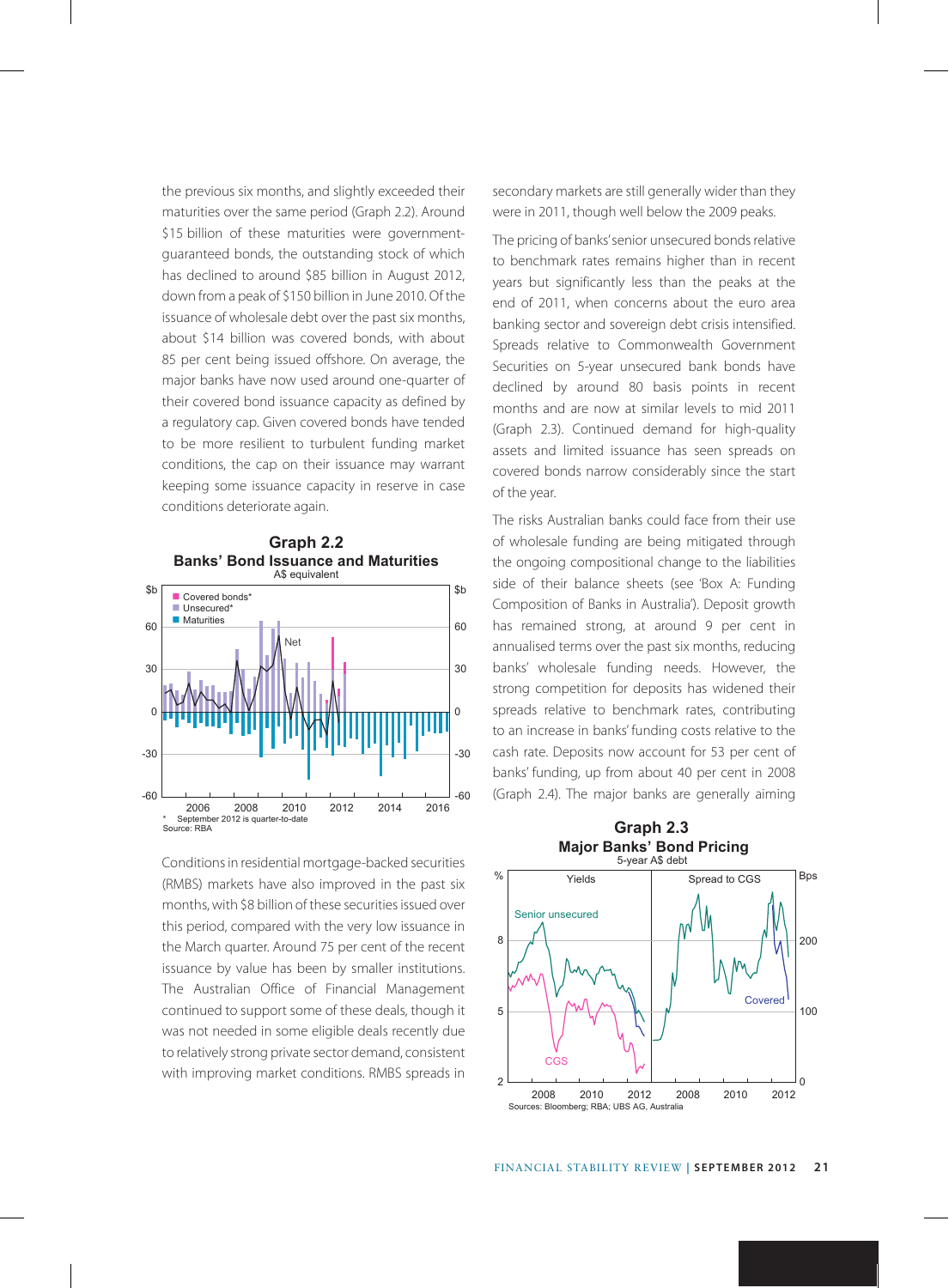the previous six months, and slightly exceeded their maturities over the same period (Graph 2.2). Around \$15 billion of these maturities were governmentguaranteed bonds, the outstanding stock of which has declined to around \$85 billion in August 2012, down from a peak of \$150 billion in June 2010. Of the issuance of wholesale debt over the past six months, about \$14 billion was covered bonds, with about 85 per cent being issued offshore. On average, the major banks have now used around one-quarter of their covered bond issuance capacity as defined by a regulatory cap. Given covered bonds have tended to be more resilient to turbulent funding market conditions, the cap on their issuance may warrant keeping some issuance capacity in reserve in case conditions deteriorate again.



Conditions in residential mortgage-backed securities (RMBS) markets have also improved in the past six months, with \$8 billion of these securities issued over this period, compared with the very low issuance in the March quarter. Around 75 per cent of the recent issuance by value has been by smaller institutions. The Australian Office of Financial Management continued to support some of these deals, though it was not needed in some eligible deals recently due to relatively strong private sector demand, consistent with improving market conditions. RMBS spreads in

secondary markets are still generally wider than they were in 2011, though well below the 2009 peaks.

The pricing of banks' senior unsecured bonds relative to benchmark rates remains higher than in recent years but significantly less than the peaks at the end of 2011, when concerns about the euro area banking sector and sovereign debt crisis intensified. Spreads relative to Commonwealth Government Securities on 5-year unsecured bank bonds have declined by around 80 basis points in recent months and are now at similar levels to mid 2011 (Graph 2.3). Continued demand for high-quality assets and limited issuance has seen spreads on covered bonds narrow considerably since the start of the year.

The risks Australian banks could face from their use of wholesale funding are being mitigated through the ongoing compositional change to the liabilities side of their balance sheets (see 'Box A: Funding Composition of Banks in Australia'). Deposit growth has remained strong, at around 9 per cent in annualised terms over the past six months, reducing banks' wholesale funding needs. However, the strong competition for deposits has widened their spreads relative to benchmark rates, contributing to an increase in banks' funding costs relative to the cash rate. Deposits now account for 53 per cent of banks' funding, up from about 40 per cent in 2008 (Graph 2.4). The major banks are generally aiming

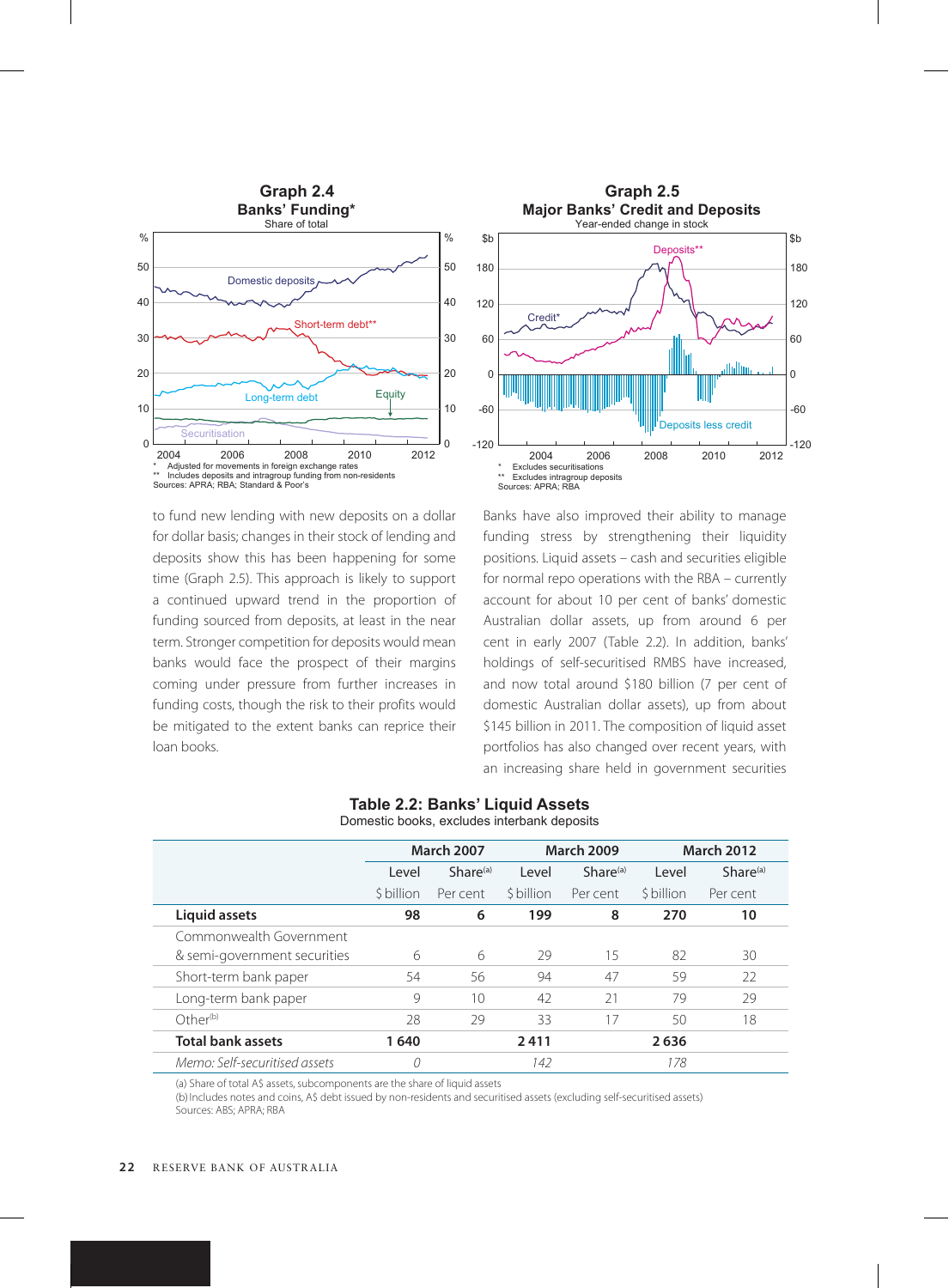

 $-120$ -60  $\mathsf{C}$  $60$ Deposits less credit \* Excludes securitisations \*\* Excludes intragroup deposits Sources: APRA; RBA 2004 2006 2008 2010

Credit<sup>\*</sup>

120

180

\$b

to fund new lending with new deposits on a dollar for dollar basis; changes in their stock of lending and deposits show this has been happening for some time (Graph 2.5). This approach is likely to support a continued upward trend in the proportion of funding sourced from deposits, at least in the near term. Stronger competition for deposits would mean banks would face the prospect of their margins coming under pressure from further increases in funding costs, though the risk to their profits would be mitigated to the extent banks can reprice their loan books.

# Banks have also improved their ability to manage funding stress by strengthening their liquidity positions. Liquid assets – cash and securities eligible for normal repo operations with the RBA – currently account for about 10 per cent of banks' domestic Australian dollar assets, up from around 6 per cent in early 2007 (Table 2.2). In addition, banks' holdings of self-securitised RMBS have increased, and now total around \$180 billion (7 per cent of domestic Australian dollar assets), up from about \$145 billion in 2011. The composition of liquid asset portfolios has also changed over recent years, with an increasing share held in government securities

**Major Banks' Credit and Deposits** Year-ended change in stock

Deposits\*\*

-120

2012

-60

 $\Omega$ 

60

120

180

 $$h$ 

|                               | <b>March 2007</b> |               | <b>March 2009</b> |                      | <b>March 2012</b> |               |  |  |
|-------------------------------|-------------------|---------------|-------------------|----------------------|-------------------|---------------|--|--|
|                               | Level             | $Share^{(a)}$ | Level             | Share <sup>(a)</sup> | Level             | $Share^{(a)}$ |  |  |
|                               | \$ billion        | Per cent      | \$ billion        | Per cent             | \$ billion        | Per cent      |  |  |
| Liquid assets                 | 98                | 6             | 199               | 8                    | 270               | 10            |  |  |
| Commonwealth Government       |                   |               |                   |                      |                   |               |  |  |
| & semi-government securities  | 6                 | 6             | 29                | 15                   | 82                | 30            |  |  |
| Short-term bank paper         | 54                | 56            | 94                | 47                   | 59                | 22            |  |  |
| Long-term bank paper          | 9                 | 10            | 42                | 21                   | 79                | 29            |  |  |
| Other <sup>(b)</sup>          | 28                | 29            | 33                | 17                   | 50                | 18            |  |  |
| <b>Total bank assets</b>      | 1640              |               | 2411              |                      | 2636              |               |  |  |
| Memo: Self-securitised assets | 0                 |               | 142               |                      | 178               |               |  |  |

#### **Table 2.2: Banks' Liquid Assets** Domestic books, excludes interbank deposits

(a) Share of total A\$ assets, subcomponents are the share of liquid assets

(b) Includes notes and coins, A\$ debt issued by non-residents and securitised assets (excluding self-securitised assets) Sources: ABS; APRA; RBA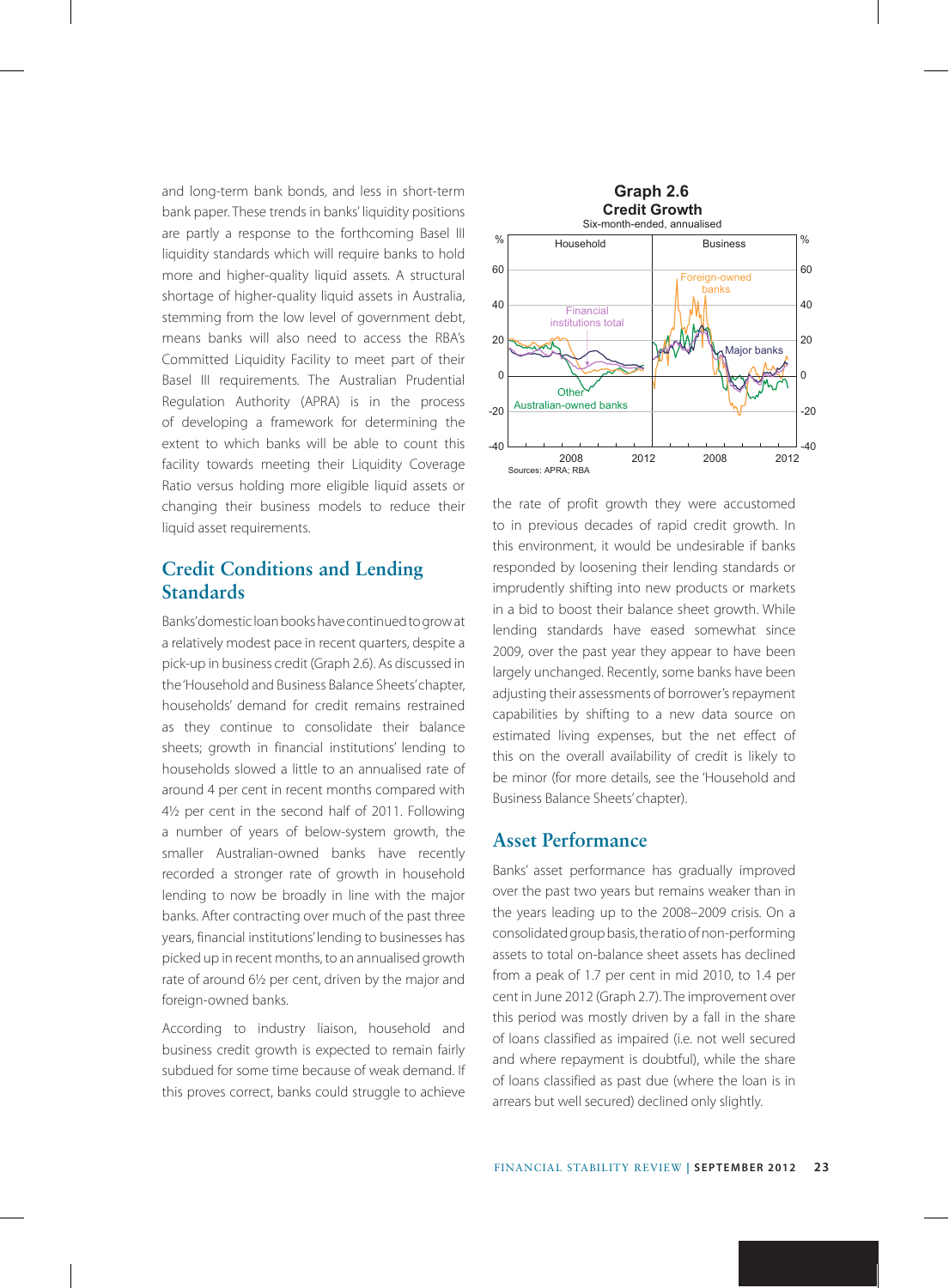and long-term bank bonds, and less in short-term bank paper. These trends in banks' liquidity positions are partly a response to the forthcoming Basel III liquidity standards which will require banks to hold more and higher-quality liquid assets. A structural shortage of higher-quality liquid assets in Australia, stemming from the low level of government debt, means banks will also need to access the RBA's Committed Liquidity Facility to meet part of their Basel III requirements. The Australian Prudential Regulation Authority (APRA) is in the process of developing a framework for determining the extent to which banks will be able to count this facility towards meeting their Liquidity Coverage Ratio versus holding more eligible liquid assets or changing their business models to reduce their liquid asset requirements.

# **Credit Conditions and Lending Standards**

Banks' domestic loan books have continued to grow at a relatively modest pace in recent quarters, despite a pick-up in business credit (Graph 2.6). As discussed in the 'Household and Business Balance Sheets' chapter, households' demand for credit remains restrained as they continue to consolidate their balance sheets; growth in financial institutions' lending to households slowed a little to an annualised rate of around 4 per cent in recent months compared with 4½ per cent in the second half of 2011. Following a number of years of below-system growth, the smaller Australian-owned banks have recently recorded a stronger rate of growth in household lending to now be broadly in line with the major banks. After contracting over much of the past three years, financial institutions' lending to businesses has picked up in recent months, to an annualised growth rate of around 6½ per cent, driven by the major and foreign-owned banks.

According to industry liaison, household and business credit growth is expected to remain fairly subdued for some time because of weak demand. If this proves correct, banks could struggle to achieve



the rate of profit growth they were accustomed to in previous decades of rapid credit growth. In this environment, it would be undesirable if banks responded by loosening their lending standards or imprudently shifting into new products or markets in a bid to boost their balance sheet growth. While lending standards have eased somewhat since 2009, over the past year they appear to have been largely unchanged. Recently, some banks have been adjusting their assessments of borrower's repayment capabilities by shifting to a new data source on estimated living expenses, but the net effect of this on the overall availability of credit is likely to be minor (for more details, see the 'Household and Business Balance Sheets' chapter).

#### **Asset Performance**

Banks' asset performance has gradually improved over the past two years but remains weaker than in the years leading up to the 2008–2009 crisis. On a consolidated group basis, the ratio of non-performing assets to total on-balance sheet assets has declined from a peak of 1.7 per cent in mid 2010, to 1.4 per cent in June 2012 (Graph 2.7). The improvement over this period was mostly driven by a fall in the share of loans classified as impaired (i.e. not well secured and where repayment is doubtful), while the share of loans classified as past due (where the loan is in arrears but well secured) declined only slightly.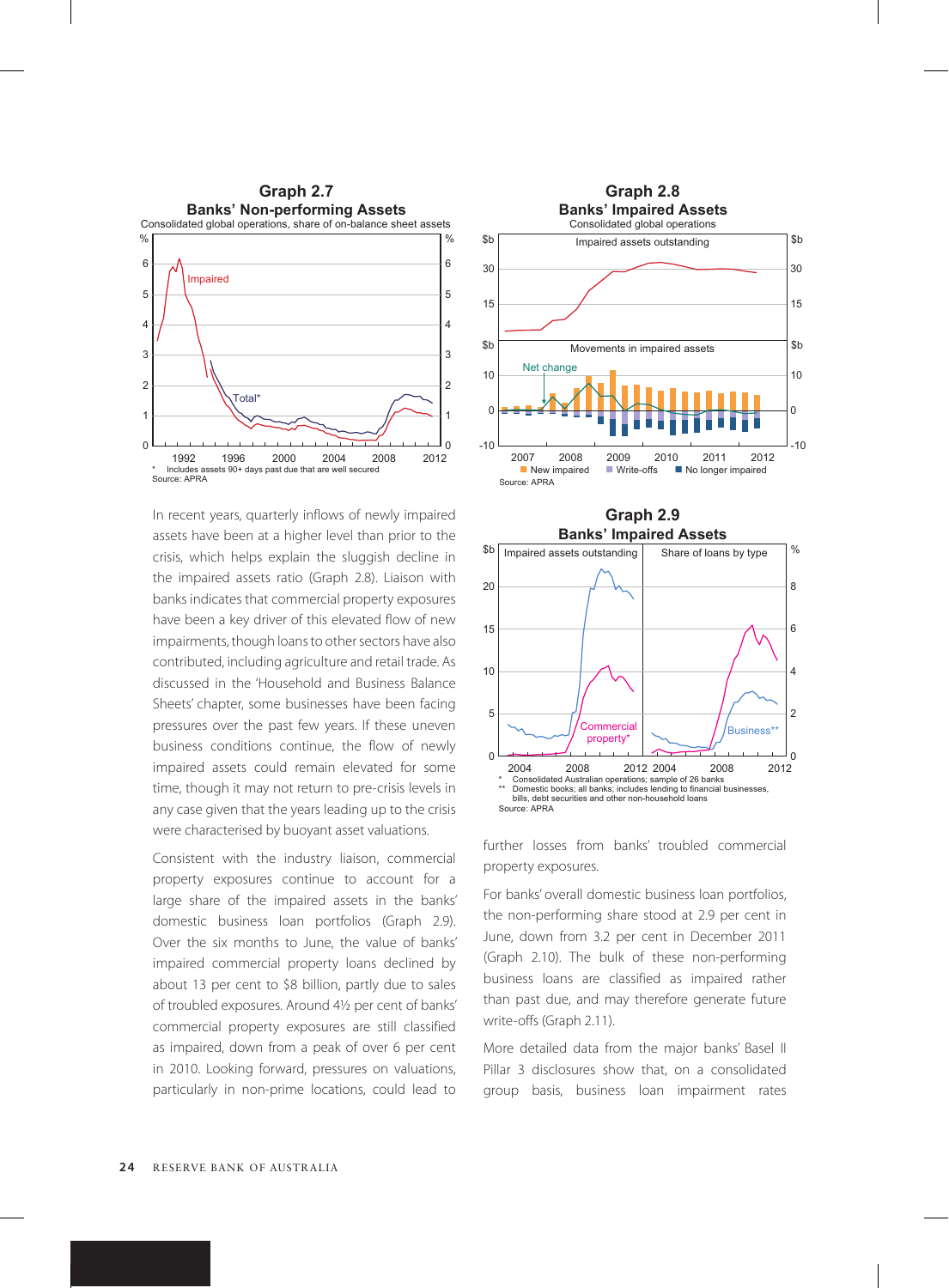

In recent years, quarterly inflows of newly impaired **Graph 2.9** assets have been at a higher level than prior to the crisis, which helps explain the sluggish decline in the impaired assets ratio (Graph 2.8). Liaison with banks indicates that commercial property exposures have been a key driver of this elevated flow of new impairments, though loans to other sectors have also contributed, including agriculture and retail trade. As discussed in the 'Household and Business Balance Sheets' chapter, some businesses have been facing pressures over the past few years. If these uneven business conditions continue, the flow of newly impaired assets could remain elevated for some time, though it may not return to pre-crisis levels in any case given that the years leading up to the crisis were characterised by buoyant asset valuations.

Consistent with the industry liaison, commercial property exposures continue to account for a large share of the impaired assets in the banks' domestic business loan portfolios (Graph 2.9). Over the six months to June, the value of banks' impaired commercial property loans declined by about 13 per cent to \$8 billion, partly due to sales of troubled exposures. Around 4½ per cent of banks' commercial property exposures are still classified as impaired, down from a peak of over 6 per cent in 2010. Looking forward, pressures on valuations, particularly in non-prime locations, could lead to





further losses from banks' troubled commercial property exposures.

For banks' overall domestic business loan portfolios, the non-performing share stood at 2.9 per cent in June, down from 3.2 per cent in December 2011 (Graph 2.10). The bulk of these non-performing business loans are classified as impaired rather than past due, and may therefore generate future write-offs (Graph 2.11).

More detailed data from the major banks' Basel II Pillar 3 disclosures show that, on a consolidated group basis, business loan impairment rates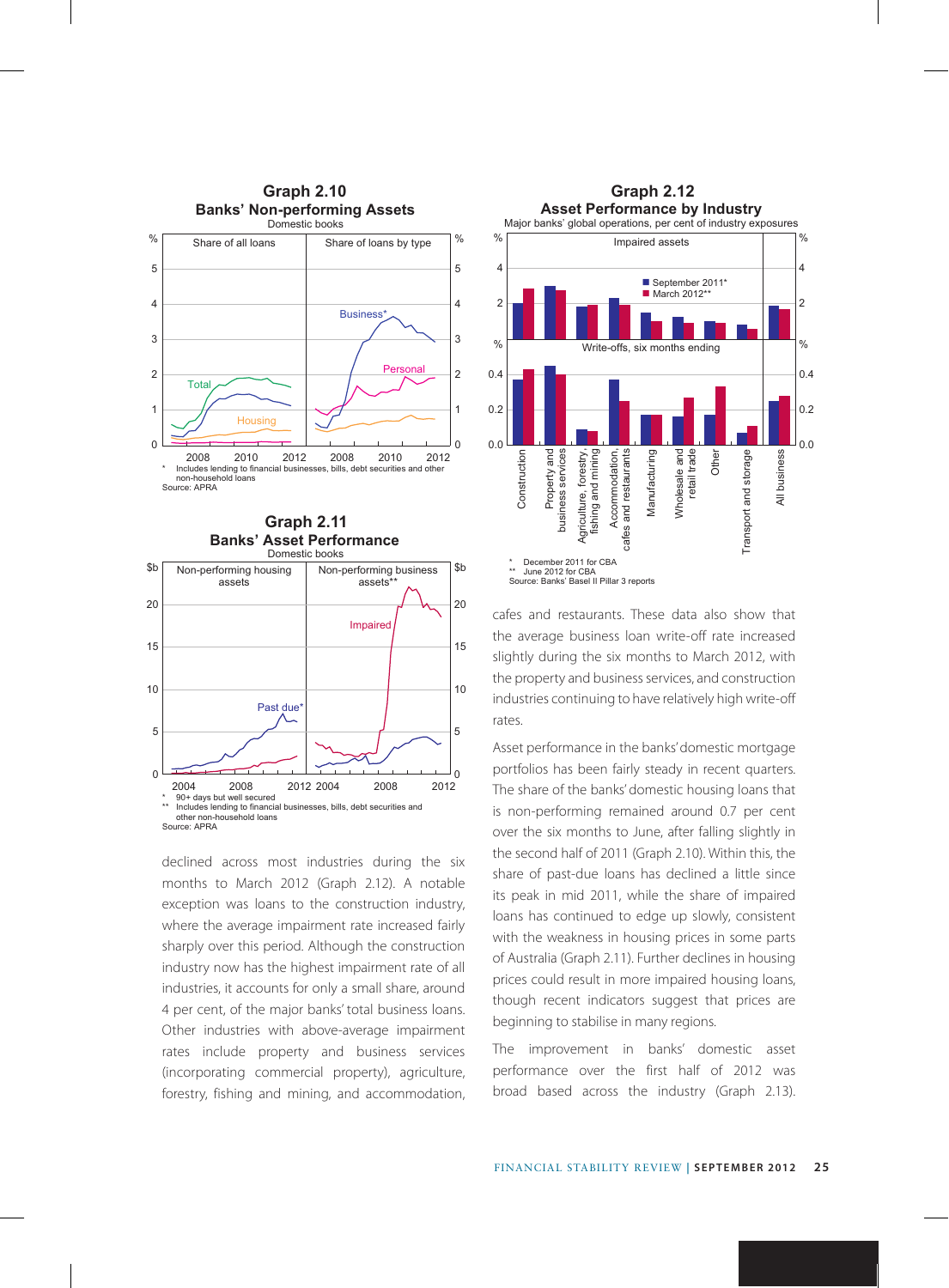

**Graph 2.11 Banks' Asset Performance**



declined across most industries during the six months to March 2012 (Graph 2.12). A notable exception was loans to the construction industry, where the average impairment rate increased fairly sharply over this period. Although the construction industry now has the highest impairment rate of all industries, it accounts for only a small share, around 4 per cent, of the major banks' total business loans. Other industries with above-average impairment rates include property and business services (incorporating commercial property), agriculture, forestry, fishing and mining, and accommodation,



cafes and restaurants. These data also show that the average business loan write-off rate increased slightly during the six months to March 2012, with the property and business services, and construction industries continuing to have relatively high write-off rates.

Asset performance in the banks' domestic mortgage portfolios has been fairly steady in recent quarters. The share of the banks' domestic housing loans that is non-performing remained around 0.7 per cent over the six months to June, after falling slightly in the second half of 2011 (Graph 2.10). Within this, the share of past-due loans has declined a little since its peak in mid 2011, while the share of impaired loans has continued to edge up slowly, consistent with the weakness in housing prices in some parts of Australia (Graph 2.11). Further declines in housing prices could result in more impaired housing loans, though recent indicators suggest that prices are beginning to stabilise in many regions.

The improvement in banks' domestic asset performance over the first half of 2012 was broad based across the industry (Graph 2.13).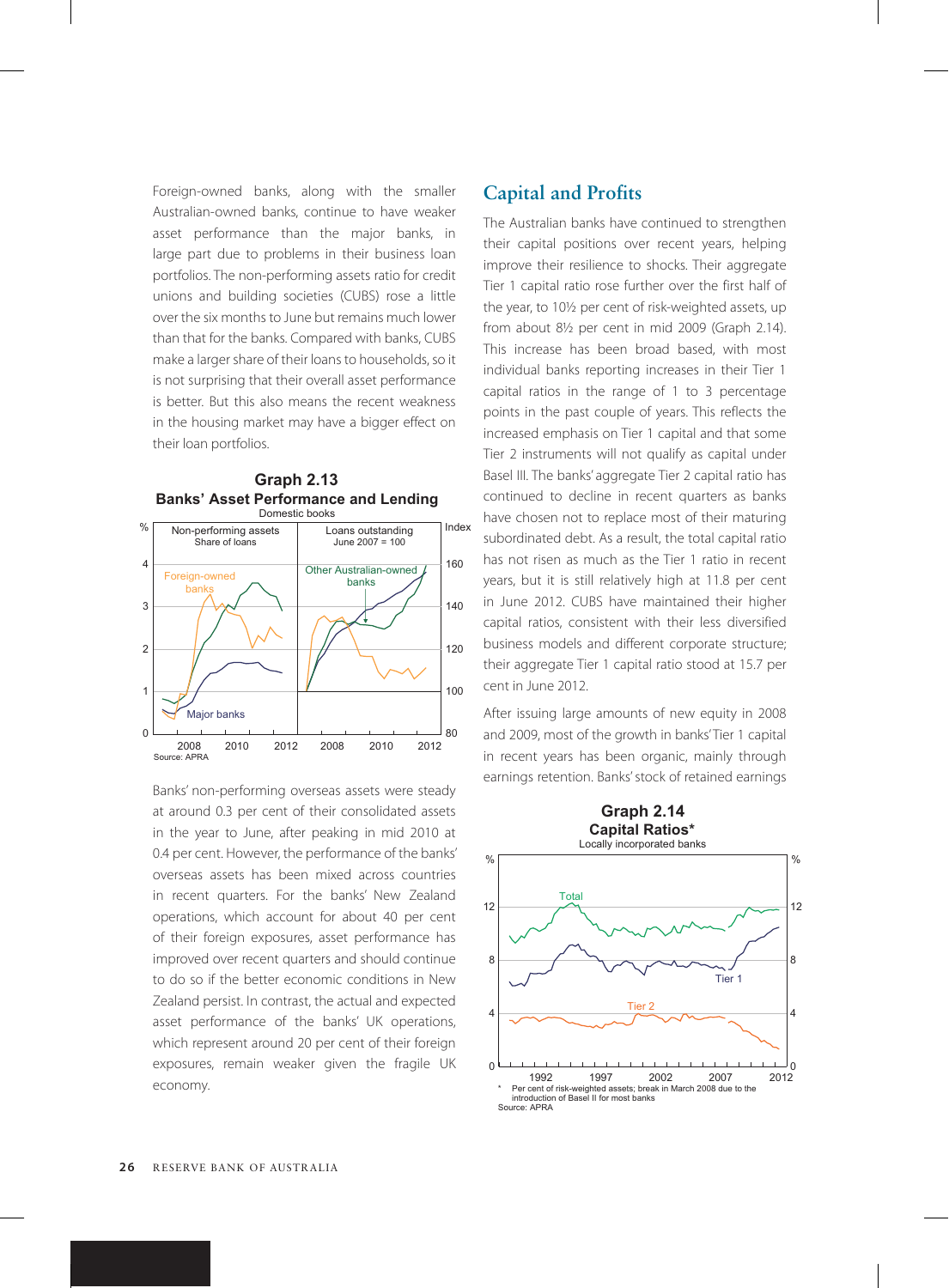Foreign-owned banks, along with the smaller Australian-owned banks, continue to have weaker asset performance than the major banks, in large part due to problems in their business loan portfolios. The non-performing assets ratio for credit unions and building societies (CUBS) rose a little over the six months to June but remains much lower than that for the banks. Compared with banks, CUBS make a larger share of their loans to households, so it is not surprising that their overall asset performance is better. But this also means the recent weakness in the housing market may have a bigger effect on their loan portfolios.



Banks' non-performing overseas assets were steady at around 0.3 per cent of their consolidated assets in the year to June, after peaking in mid 2010 at 0.4 per cent. However, the performance of the banks' overseas assets has been mixed across countries in recent quarters. For the banks' New Zealand operations, which account for about 40 per cent of their foreign exposures, asset performance has improved over recent quarters and should continue to do so if the better economic conditions in New Zealand persist. In contrast, the actual and expected asset performance of the banks' UK operations, which represent around 20 per cent of their foreign exposures, remain weaker given the fragile UK economy.

# **Capital and Profits**

The Australian banks have continued to strengthen their capital positions over recent years, helping improve their resilience to shocks. Their aggregate Tier 1 capital ratio rose further over the first half of the year, to 10½ per cent of risk-weighted assets, up from about 8½ per cent in mid 2009 (Graph 2.14). This increase has been broad based, with most individual banks reporting increases in their Tier 1 capital ratios in the range of 1 to 3 percentage points in the past couple of years. This reflects the increased emphasis on Tier 1 capital and that some Tier 2 instruments will not qualify as capital under Basel III. The banks' aggregate Tier 2 capital ratio has continued to decline in recent quarters as banks have chosen not to replace most of their maturing subordinated debt. As a result, the total capital ratio has not risen as much as the Tier 1 ratio in recent years, but it is still relatively high at 11.8 per cent in June 2012. CUBS have maintained their higher capital ratios, consistent with their less diversified business models and different corporate structure; their aggregate Tier 1 capital ratio stood at 15.7 per cent in June 2012.

After issuing large amounts of new equity in 2008 and 2009, most of the growth in banks' Tier 1 capital in recent years has been organic, mainly through earnings retention. Banks' stock of retained earnings

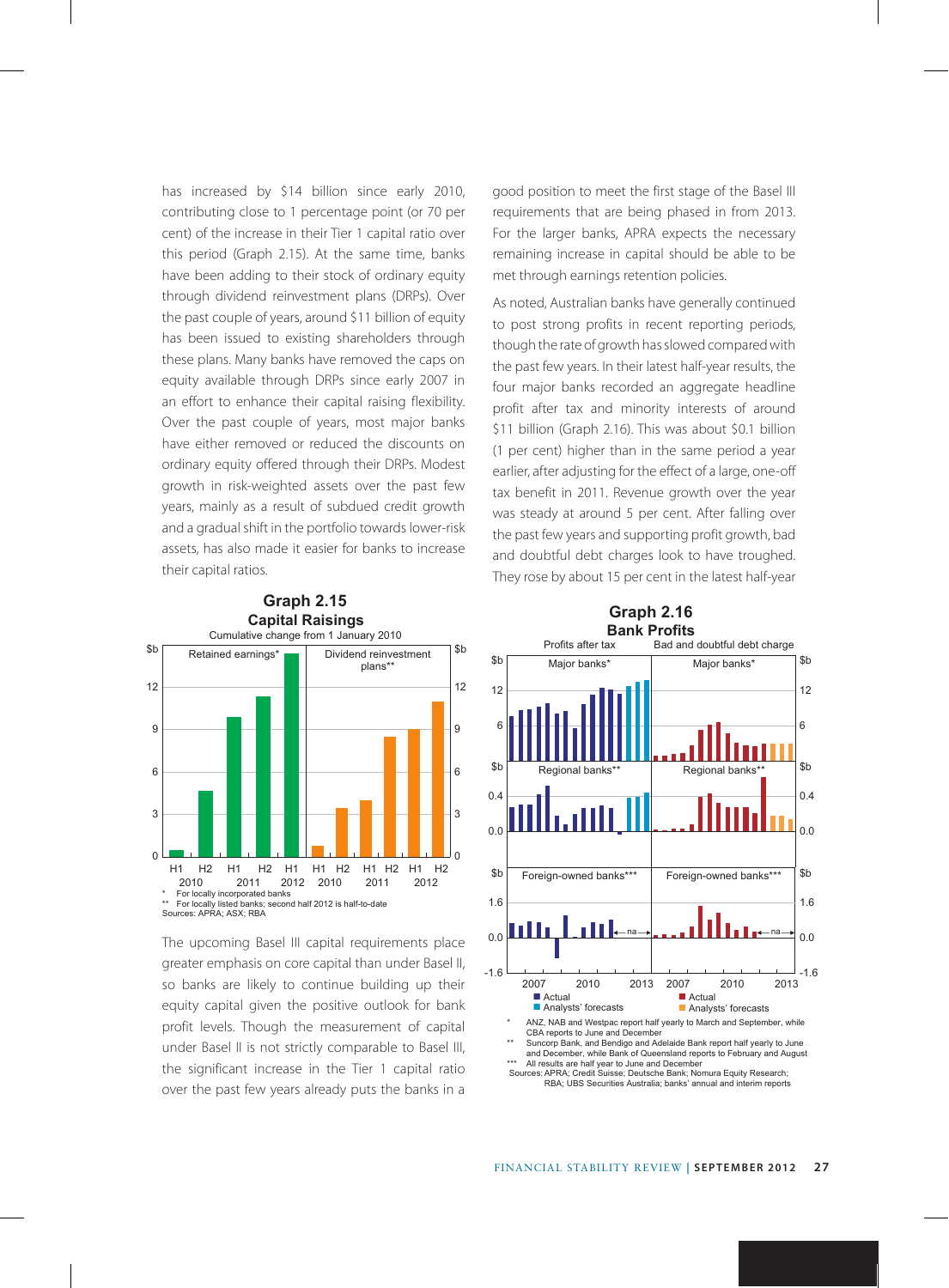has increased by \$14 billion since early 2010, contributing close to 1 percentage point (or 70 per cent) of the increase in their Tier 1 capital ratio over this period (Graph 2.15). At the same time, banks have been adding to their stock of ordinary equity through dividend reinvestment plans (DRPs). Over the past couple of years, around \$11 billion of equity has been issued to existing shareholders through these plans. Many banks have removed the caps on equity available through DRPs since early 2007 in an effort to enhance their capital raising flexibility. Over the past couple of years, most major banks have either removed or reduced the discounts on ordinary equity offered through their DRPs. Modest growth in risk-weighted assets over the past few years, mainly as a result of subdued credit growth and a gradual shift in the portfolio towards lower-risk assets, has also made it easier for banks to increase their capital ratios.



The upcoming Basel III capital requirements place greater emphasis on core capital than under Basel II, so banks are likely to continue building up their equity capital given the positive outlook for bank profit levels. Though the measurement of capital under Basel II is not strictly comparable to Basel III, the significant increase in the Tier 1 capital ratio over the past few years already puts the banks in a good position to meet the first stage of the Basel III requirements that are being phased in from 2013. For the larger banks, APRA expects the necessary remaining increase in capital should be able to be met through earnings retention policies.

As noted, Australian banks have generally continued to post strong profits in recent reporting periods, though the rate of growth has slowed compared with the past few years. In their latest half-year results, the four major banks recorded an aggregate headline profit after tax and minority interests of around \$11 billion (Graph 2.16). This was about \$0.1 billion (1 per cent) higher than in the same period a year earlier, after adjusting for the effect of a large, one-off tax benefit in 2011. Revenue growth over the year was steady at around 5 per cent. After falling over the past few years and supporting profit growth, bad and doubtful debt charges look to have troughed. They rose by about 15 per cent in the latest half-year



Sources:APRA; Credit Suisse; Deutsche Bank; Nomura Equity Research; RBA; UBS Securities Australia; banks' annual and interim reports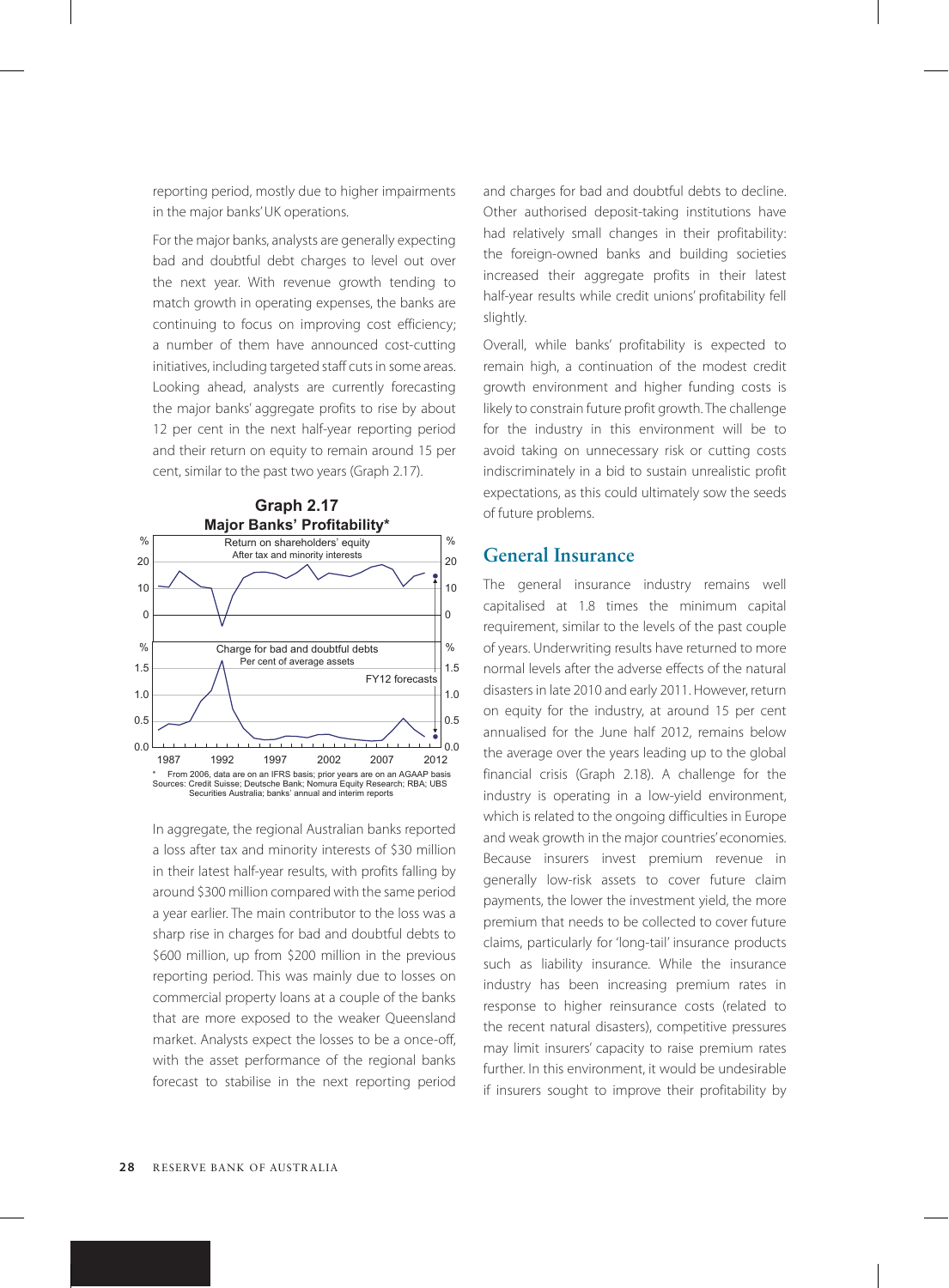reporting period, mostly due to higher impairments in the major banks' UK operations.

For the major banks, analysts are generally expecting bad and doubtful debt charges to level out over the next year. With revenue growth tending to match growth in operating expenses, the banks are continuing to focus on improving cost efficiency; a number of them have announced cost-cutting initiatives, including targeted staff cuts in some areas. Looking ahead, analysts are currently forecasting the major banks' aggregate profits to rise by about 12 per cent in the next half-year reporting period and their return on equity to remain around 15 per cent, similar to the past two years (Graph 2.17).



In aggregate, the regional Australian banks reported a loss after tax and minority interests of \$30 million in their latest half-year results, with profits falling by around \$300 million compared with the same period a year earlier. The main contributor to the loss was a sharp rise in charges for bad and doubtful debts to \$600 million, up from \$200 million in the previous reporting period. This was mainly due to losses on commercial property loans at a couple of the banks that are more exposed to the weaker Queensland market. Analysts expect the losses to be a once-off, with the asset performance of the regional banks forecast to stabilise in the next reporting period and charges for bad and doubtful debts to decline. Other authorised deposit-taking institutions have had relatively small changes in their profitability: the foreign-owned banks and building societies increased their aggregate profits in their latest half-year results while credit unions' profitability fell slightly.

Overall, while banks' profitability is expected to remain high, a continuation of the modest credit growth environment and higher funding costs is likely to constrain future profit growth. The challenge for the industry in this environment will be to avoid taking on unnecessary risk or cutting costs indiscriminately in a bid to sustain unrealistic profit expectations, as this could ultimately sow the seeds of future problems.

#### **General Insurance**

The general insurance industry remains well capitalised at 1.8 times the minimum capital requirement, similar to the levels of the past couple of years. Underwriting results have returned to more normal levels after the adverse effects of the natural disasters in late 2010 and early 2011. However, return on equity for the industry, at around 15 per cent annualised for the June half 2012, remains below the average over the years leading up to the global financial crisis (Graph 2.18). A challenge for the industry is operating in a low-yield environment, which is related to the ongoing difficulties in Europe and weak growth in the major countries' economies. Because insurers invest premium revenue in generally low-risk assets to cover future claim payments, the lower the investment yield, the more premium that needs to be collected to cover future claims, particularly for 'long-tail' insurance products such as liability insurance. While the insurance industry has been increasing premium rates in response to higher reinsurance costs (related to the recent natural disasters), competitive pressures may limit insurers' capacity to raise premium rates further. In this environment, it would be undesirable if insurers sought to improve their profitability by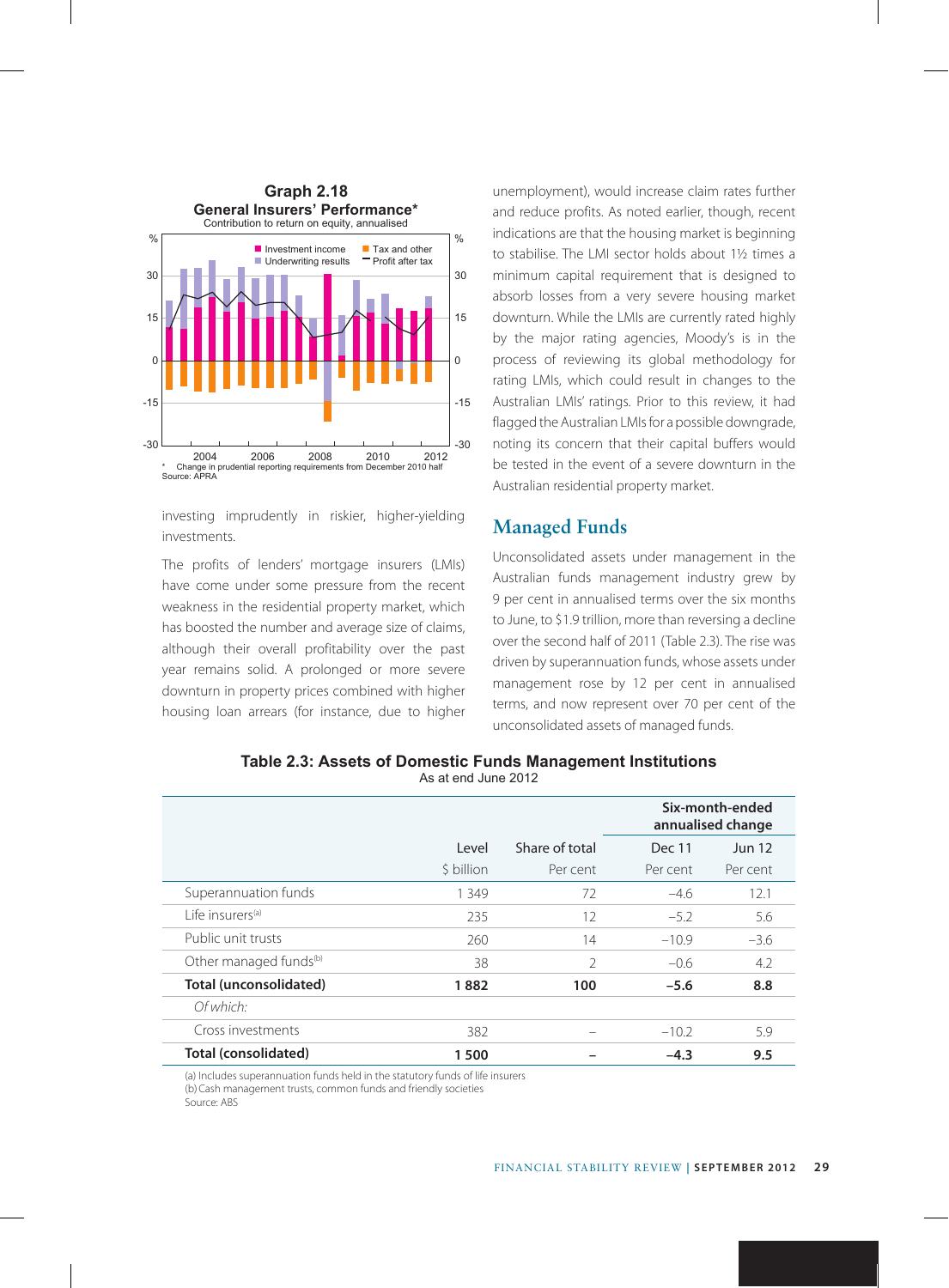

investing imprudently in riskier, higher-yielding investments.

The profits of lenders' mortgage insurers (LMIs) have come under some pressure from the recent weakness in the residential property market, which has boosted the number and average size of claims, although their overall profitability over the past year remains solid. A prolonged or more severe downturn in property prices combined with higher housing loan arrears (for instance, due to higher unemployment), would increase claim rates further and reduce profits. As noted earlier, though, recent indications are that the housing market is beginning to stabilise. The LMI sector holds about 1½ times a minimum capital requirement that is designed to absorb losses from a very severe housing market downturn. While the LMIs are currently rated highly by the major rating agencies, Moody's is in the process of reviewing its global methodology for rating LMIs, which could result in changes to the Australian LMIs' ratings. Prior to this review, it had flagged the Australian LMIs for a possible downgrade, noting its concern that their capital buffers would be tested in the event of a severe downturn in the Australian residential property market.

# **Managed Funds**

Unconsolidated assets under management in the Australian funds management industry grew by 9 per cent in annualised terms over the six months to June, to \$1.9 trillion, more than reversing a decline over the second half of 2011 (Table 2.3). The rise was driven by superannuation funds, whose assets under management rose by 12 per cent in annualised terms, and now represent over 70 per cent of the unconsolidated assets of managed funds.

|                                    |            |                |          | Six-month-ended<br>annualised change |
|------------------------------------|------------|----------------|----------|--------------------------------------|
|                                    | Level      | Share of total | Dec 11   | <b>Jun 12</b>                        |
|                                    | \$ billion | Per cent       | Per cent | Per cent                             |
| Superannuation funds               | 1 3 4 9    | 72             | $-4.6$   | 12.1                                 |
| l ife insurers <sup>(a)</sup>      | 235        | 12             | $-5.2$   | 5.6                                  |
| Public unit trusts                 | 260        | 14             | $-10.9$  | $-3.6$                               |
| Other managed funds <sup>(b)</sup> | 38         | $\mathcal{P}$  | $-0.6$   | 4.2                                  |
| Total (unconsolidated)             | 1882       | 100            | $-5.6$   | 8.8                                  |
| Of which:                          |            |                |          |                                      |
| Cross investments                  | 382        |                | $-10.2$  | 5.9                                  |
| Total (consolidated)               | 1500       |                | $-4.3$   | 9.5                                  |

**Table 2.3: Assets of Domestic Funds Management Institutions** As at end June 2012

(a) Includes superannuation funds held in the statutory funds of life insurers (b) Cash management trusts, common funds and friendly societies Source: ABS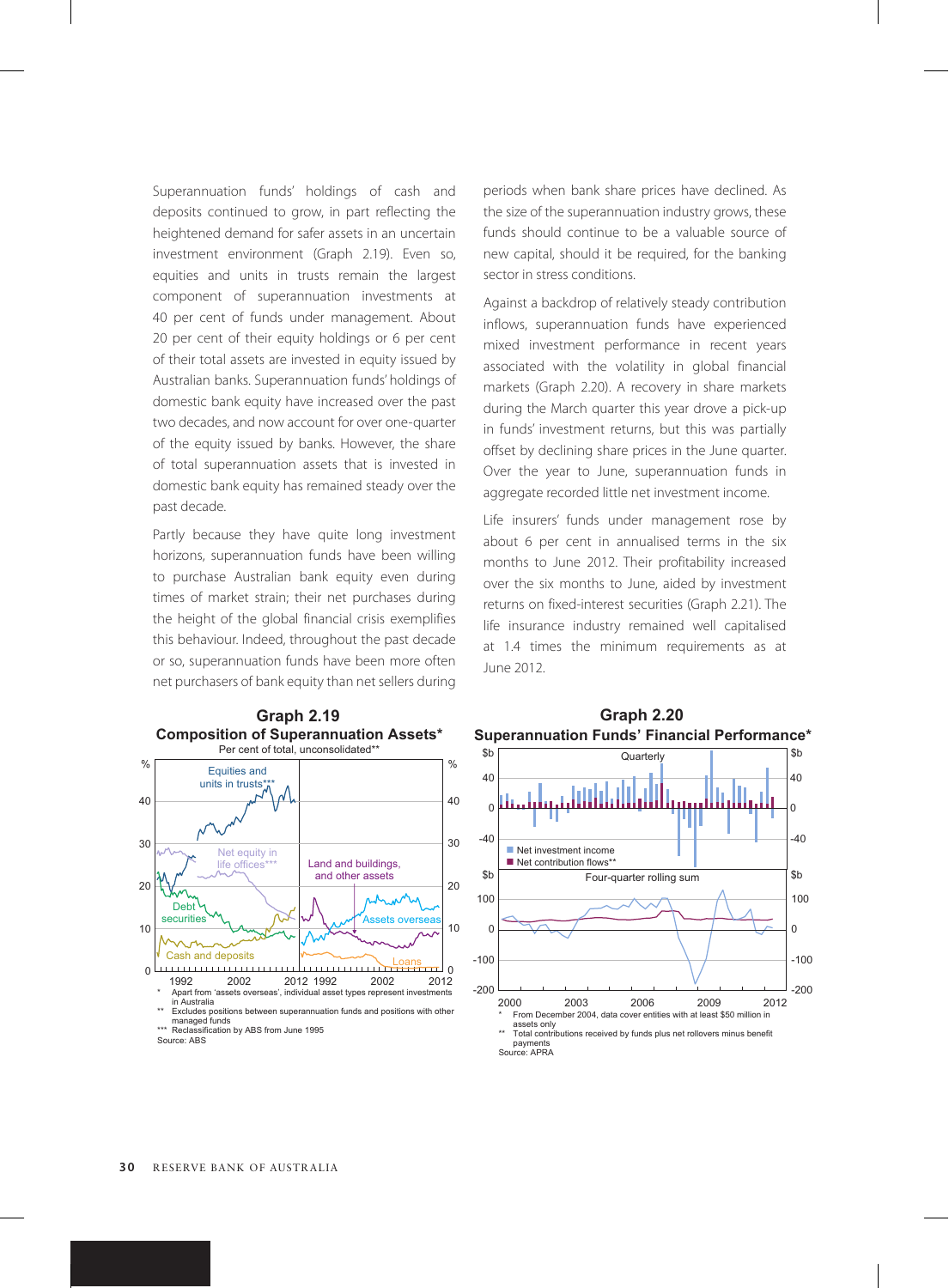Superannuation funds' holdings of cash and deposits continued to grow, in part reflecting the heightened demand for safer assets in an uncertain investment environment (Graph 2.19). Even so, equities and units in trusts remain the largest component of superannuation investments at 40 per cent of funds under management. About 20 per cent of their equity holdings or 6 per cent of their total assets are invested in equity issued by Australian banks. Superannuation funds' holdings of domestic bank equity have increased over the past two decades, and now account for over one-quarter of the equity issued by banks. However, the share of total superannuation assets that is invested in domestic bank equity has remained steady over the past decade.

Partly because they have quite long investment horizons, superannuation funds have been willing to purchase Australian bank equity even during times of market strain; their net purchases during the height of the global financial crisis exemplifies this behaviour. Indeed, throughout the past decade or so, superannuation funds have been more often net purchasers of bank equity than net sellers during



managed funds \*\*\* Reclassification by ABS from June 1995

periods when bank share prices have declined. As the size of the superannuation industry grows, these funds should continue to be a valuable source of new capital, should it be required, for the banking sector in stress conditions.

Against a backdrop of relatively steady contribution inflows, superannuation funds have experienced mixed investment performance in recent years associated with the volatility in global financial markets (Graph 2.20). A recovery in share markets during the March quarter this year drove a pick-up in funds' investment returns, but this was partially offset by declining share prices in the June quarter. Over the year to June, superannuation funds in aggregate recorded little net investment income.

Life insurers' funds under management rose by about 6 per cent in annualised terms in the six months to June 2012. Their profitability increased over the six months to June, aided by investment returns on fixed-interest securities (Graph 2.21). The life insurance industry remained well capitalised at 1.4 times the minimum requirements as at June 2012.



#### **Graph 2.20 Superannuation Funds' Financial Performance\***

Source: ABS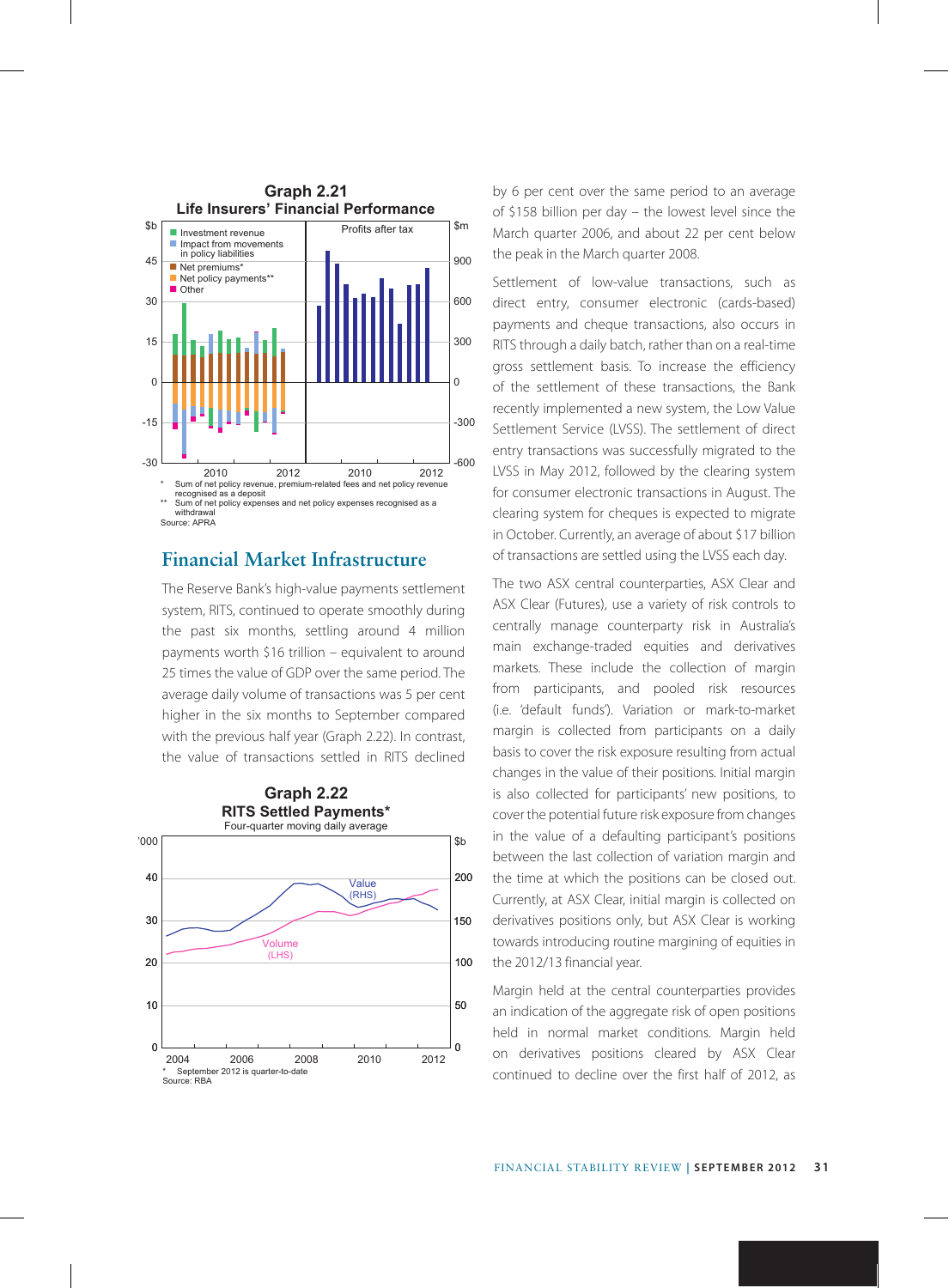

### **Financial Market Infrastructure**

The Reserve Bank's high-value payments settlement system, RITS, continued to operate smoothly during the past six months, settling around 4 million payments worth \$16 trillion – equivalent to around 25 times the value of GDP over the same period. The average daily volume of transactions was 5 per cent higher in the six months to September compared with the previous half year (Graph 2.22). In contrast, the value of transactions settled in RITS declined



**Graph 2.21** by 6 per cent over the same period to an average of \$158 billion per day – the lowest level since the March quarter 2006, and about 22 per cent below the peak in the March quarter 2008.

> Settlement of low-value transactions, such as direct entry, consumer electronic (cards-based) payments and cheque transactions, also occurs in RITS through a daily batch, rather than on a real-time gross settlement basis. To increase the efficiency of the settlement of these transactions, the Bank recently implemented a new system, the Low Value Settlement Service (LVSS). The settlement of direct entry transactions was successfully migrated to the LVSS in May 2012, followed by the clearing system for consumer electronic transactions in August. The clearing system for cheques is expected to migrate in October. Currently, an average of about \$17 billion of transactions are settled using the LVSS each day.

> The two ASX central counterparties, ASX Clear and ASX Clear (Futures), use a variety of risk controls to centrally manage counterparty risk in Australia's main exchange-traded equities and derivatives markets. These include the collection of margin from participants, and pooled risk resources (i.e. 'default funds'). Variation or mark-to-market margin is collected from participants on a daily basis to cover the risk exposure resulting from actual changes in the value of their positions. Initial margin is also collected for participants' new positions, to cover the potential future risk exposure from changes in the value of a defaulting participant's positions between the last collection of variation margin and the time at which the positions can be closed out. Currently, at ASX Clear, initial margin is collected on derivatives positions only, but ASX Clear is working towards introducing routine margining of equities in the 2012/13 financial year.

> Margin held at the central counterparties provides an indication of the aggregate risk of open positions held in normal market conditions. Margin held on derivatives positions cleared by ASX Clear continued to decline over the first half of 2012, as